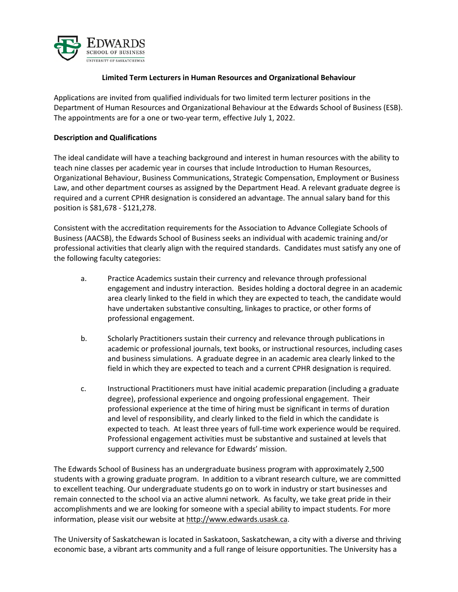

## **Limited Term Lecturers in Human Resources and Organizational Behaviour**

Applications are invited from qualified individuals for two limited term lecturer positions in the Department of Human Resources and Organizational Behaviour at the Edwards School of Business (ESB). The appointments are for a one or two-year term, effective July 1, 2022.

## **Description and Qualifications**

The ideal candidate will have a teaching background and interest in human resources with the ability to teach nine classes per academic year in courses that include Introduction to Human Resources, Organizational Behaviour, Business Communications, Strategic Compensation, Employment or Business Law, and other department courses as assigned by the Department Head. A relevant graduate degree is required and a current CPHR designation is considered an advantage. The annual salary band for this position is \$81,678 - \$121,278.

Consistent with the accreditation requirements for the Association to Advance Collegiate Schools of Business (AACSB), the Edwards School of Business seeks an individual with academic training and/or professional activities that clearly align with the required standards. Candidates must satisfy any one of the following faculty categories:

- a. Practice Academics sustain their currency and relevance through professional engagement and industry interaction. Besides holding a doctoral degree in an academic area clearly linked to the field in which they are expected to teach, the candidate would have undertaken substantive consulting, linkages to practice, or other forms of professional engagement.
- b. Scholarly Practitioners sustain their currency and relevance through publications in academic or professional journals, text books, or instructional resources, including cases and business simulations. A graduate degree in an academic area clearly linked to the field in which they are expected to teach and a current CPHR designation is required.
- c. Instructional Practitioners must have initial academic preparation (including a graduate degree), professional experience and ongoing professional engagement. Their professional experience at the time of hiring must be significant in terms of duration and level of responsibility, and clearly linked to the field in which the candidate is expected to teach. At least three years of full-time work experience would be required. Professional engagement activities must be substantive and sustained at levels that support currency and relevance for Edwards' mission.

The Edwards School of Business has an undergraduate business program with approximately 2,500 students with a growing graduate program. In addition to a vibrant research culture, we are committed to excellent teaching. Our undergraduate students go on to work in industry or start businesses and remain connected to the school via an active alumni network. As faculty, we take great pride in their accomplishments and we are looking for someone with a special ability to impact students. For more information, please visit our website at [http://www.edwards.usask.ca.](http://www.edwards.usask.ca/)

The University of Saskatchewan is located in Saskatoon, Saskatchewan, a city with a diverse and thriving economic base, a vibrant arts community and a full range of leisure opportunities. The University has a